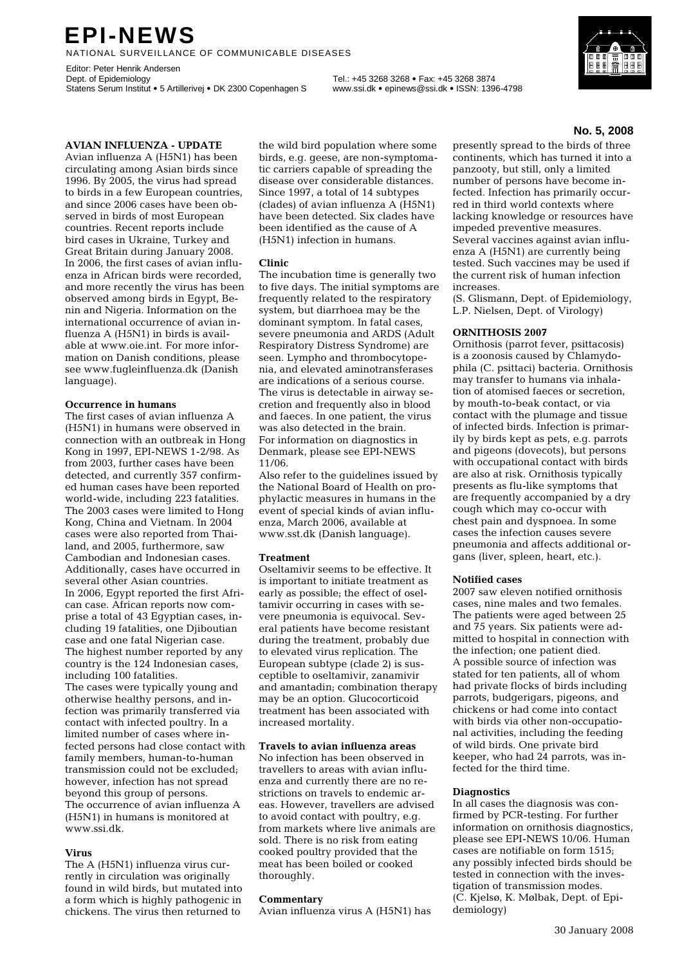# **EPI-NEWS**

NATIONAL SURVEILLANCE OF COMMUNICABLE DISEASES

Editor: Peter Henrik Andersen<br>Dept. of Epidemiology Statens Serum Institut • 5 Artillerivej • DK 2300 Copenhagen S www.ssi.dk • epinews@ssi.dk • ISSN: 1396-4798

Dept. of Epidemiology Tel.: +45 3268 3268 • Fax: +45 3268 3874

### **AVIAN INFLUENZA - UPDATE**

Avian influenza A (H5N1) has been circulating among Asian birds since 1996. By 2005, the virus had spread to birds in a few European countries, and since 2006 cases have been observed in birds of most European countries. Recent reports include bird cases in Ukraine, Turkey and Great Britain during January 2008. In 2006, the first cases of avian influenza in African birds were recorded, and more recently the virus has been observed among birds in Egypt, Benin and Nigeria. Information on the international occurrence of avian influenza A (H5N1) in birds is available at www.oie.int. For more information on Danish conditions, please see www.fugleinfluenza.dk (Danish language).

#### **Occurrence in humans**

The first cases of avian influenza A (H5N1) in humans were observed in connection with an outbreak in Hong Kong in 1997, EPI-NEWS 1-2/98. As from 2003, further cases have been detected, and currently 357 confirmed human cases have been reported world-wide, including 223 fatalities. The 2003 cases were limited to Hong Kong, China and Vietnam. In 2004 cases were also reported from Thailand, and 2005, furthermore, saw Cambodian and Indonesian cases. Additionally, cases have occurred in several other Asian countries. In 2006, Egypt reported the first African case. African reports now comprise a total of 43 Egyptian cases, including 19 fatalities, one Djiboutian case and one fatal Nigerian case. The highest number reported by any country is the 124 Indonesian cases, including 100 fatalities.

The cases were typically young and otherwise healthy persons, and infection was primarily transferred via contact with infected poultry. In a limited number of cases where infected persons had close contact with family members, human-to-human transmission could not be excluded; however, infection has not spread beyond this group of persons. The occurrence of avian influenza A (H5N1) in humans is monitored at www.ssi.dk.

#### **Virus**

The A (H5N1) influenza virus currently in circulation was originally found in wild birds, but mutated into a form which is highly pathogenic in chickens. The virus then returned to

the wild bird population where some birds, e.g. geese, are non-symptomatic carriers capable of spreading the disease over considerable distances. Since 1997, a total of 14 subtypes (clades) of avian influenza A (H5N1) have been detected. Six clades have been identified as the cause of A (H5N1) infection in humans.

#### **Clinic**

The incubation time is generally two to five days. The initial symptoms are frequently related to the respiratory system, but diarrhoea may be the dominant symptom. In fatal cases, severe pneumonia and ARDS (Adult Respiratory Distress Syndrome) are seen. Lympho and thrombocytopenia, and elevated aminotransferases are indications of a serious course. The virus is detectable in airway secretion and frequently also in blood and faeces. In one patient, the virus was also detected in the brain. For information on diagnostics in Denmark, please see EPI-NEWS 11/06.

Also refer to the guidelines issued by the National Board of Health on prophylactic measures in humans in the event of special kinds of avian influenza, March 2006, available at www.sst.dk (Danish language).

#### **Treatment**

Oseltamivir seems to be effective. It is important to initiate treatment as early as possible; the effect of oseltamivir occurring in cases with severe pneumonia is equivocal. Several patients have become resistant during the treatment, probably due to elevated virus replication. The European subtype (clade 2) is susceptible to oseltamivir, zanamivir and amantadin; combination therapy may be an option. Glucocorticoid treatment has been associated with increased mortality.

#### **Travels to avian influenza areas**

No infection has been observed in travellers to areas with avian influenza and currently there are no restrictions on travels to endemic areas. However, travellers are advised to avoid contact with poultry, e.g. from markets where live animals are sold. There is no risk from eating cooked poultry provided that the meat has been boiled or cooked thoroughly.

#### **Commentary**

Avian influenza virus A (H5N1) has

presently spread to the birds of three continents, which has turned it into a panzooty, but still, only a limited number of persons have become infected. Infection has primarily occurred in third world contexts where lacking knowledge or resources have impeded preventive measures. Several vaccines against avian influenza A (H5N1) are currently being tested. Such vaccines may be used if the current risk of human infection increases.

(S. Glismann, Dept. of Epidemiology, L.P. Nielsen, Dept. of Virology)

#### **ORNITHOSIS 2007**

Ornithosis (parrot fever, psittacosis) is a zoonosis caused by Chlamydophila (C. psittaci) bacteria. Ornithosis may transfer to humans via inhalation of atomised faeces or secretion, by mouth-to-beak contact, or via contact with the plumage and tissue of infected birds. Infection is primarily by birds kept as pets, e.g. parrots and pigeons (dovecots), but persons with occupational contact with birds are also at risk. Ornithosis typically presents as flu-like symptoms that are frequently accompanied by a dry cough which may co-occur with chest pain and dyspnoea. In some cases the infection causes severe pneumonia and affects additional organs (liver, spleen, heart, etc.).

#### **Notified cases**

2007 saw eleven notified ornithosis cases, nine males and two females. The patients were aged between 25 and 75 years. Six patients were admitted to hospital in connection with the infection; one patient died. A possible source of infection was stated for ten patients, all of whom had private flocks of birds including parrots, budgerigars, pigeons, and chickens or had come into contact with birds via other non-occupational activities, including the feeding of wild birds. One private bird keeper, who had 24 parrots, was infected for the third time.

#### **Diagnostics**

In all cases the diagnosis was confirmed by PCR-testing. For further information on ornithosis diagnostics, please see EPI-NEWS 10/06. Human cases are notifiable on form 1515; any possibly infected birds should be tested in connection with the investigation of transmission modes. (C. Kjelsø, K. Mølbak, Dept. of Epidemiology)



#### **No. 5, 2008**